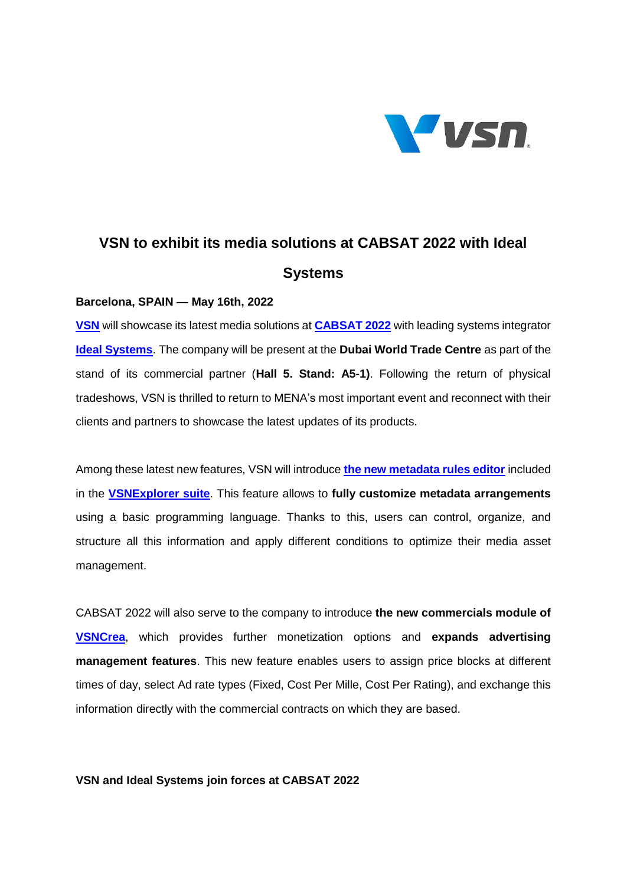

# **VSN to exhibit its media solutions at CABSAT 2022 with Ideal Systems**

## **Barcelona, SPAIN — May 16th, 2022**

**[VSN](https://www.vsn-tv.com/en/)** will showcase its latest media solutions at **[CABSAT 2022](https://www.cabsat.com/)** with leading systems integrator **[Ideal Systems](https://www.idealsys.com/)**. The company will be present at the **Dubai World Trade Centre** as part of the stand of its commercial partner (**Hall 5. Stand: A5-1)**. Following the return of physical tradeshows, VSN is thrilled to return to MENA's most important event and reconnect with their clients and partners to showcase the latest updates of its products.

Among these latest new features, VSN will introduce **[the new metadata rules editor](https://www.vsn-tv.com/en/apply-metadata-vsnexplorer-mam/)** included in the **[VSNExplorer suite](https://www.vsn-tv.com/en/products/vsnexplorer-mam/)**. This feature allows to **fully customize metadata arrangements** using a basic programming language. Thanks to this, users can control, organize, and structure all this information and apply different conditions to optimize their media asset management.

CABSAT 2022 will also serve to the company to introduce **the new commercials module of [VSNCrea](https://www.vsn-tv.com/en/products/vsncrea/)**, which provides further monetization options and **expands advertising management features**. This new feature enables users to assign price blocks at different times of day, select Ad rate types (Fixed, Cost Per Mille, Cost Per Rating), and exchange this information directly with the commercial contracts on which they are based.

# **VSN and Ideal Systems join forces at CABSAT 2022**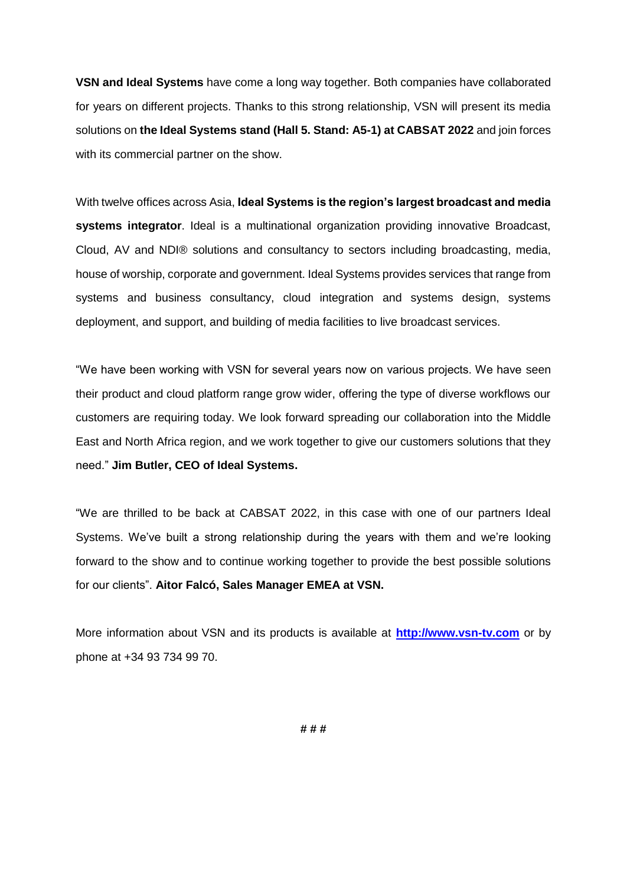**VSN and Ideal Systems** have come a long way together. Both companies have collaborated for years on different projects. Thanks to this strong relationship, VSN will present its media solutions on **the Ideal Systems stand (Hall 5. Stand: A5-1) at CABSAT 2022** and join forces with its commercial partner on the show.

With twelve offices across Asia, **Ideal Systems is the region's largest broadcast and media systems integrator**. Ideal is a multinational organization providing innovative Broadcast, Cloud, AV and NDI® solutions and consultancy to sectors including broadcasting, media, house of worship, corporate and government. Ideal Systems provides services that range from systems and business consultancy, cloud integration and systems design, systems deployment, and support, and building of media facilities to live broadcast services.

"We have been working with VSN for several years now on various projects. We have seen their product and cloud platform range grow wider, offering the type of diverse workflows our customers are requiring today. We look forward spreading our collaboration into the Middle East and North Africa region, and we work together to give our customers solutions that they need." **Jim Butler, CEO of Ideal Systems.**

"We are thrilled to be back at CABSAT 2022, in this case with one of our partners Ideal Systems. We've built a strong relationship during the years with them and we're looking forward to the show and to continue working together to provide the best possible solutions for our clients". **Aitor Falcó, Sales Manager EMEA at VSN.**

More information about VSN and its products is available a[t](http://www.vsn-tv.com/) **[http://www.vsn-tv.com](http://www.vsn-tv.com/)** or by phone at +34 93 734 99 70.

**# # #**